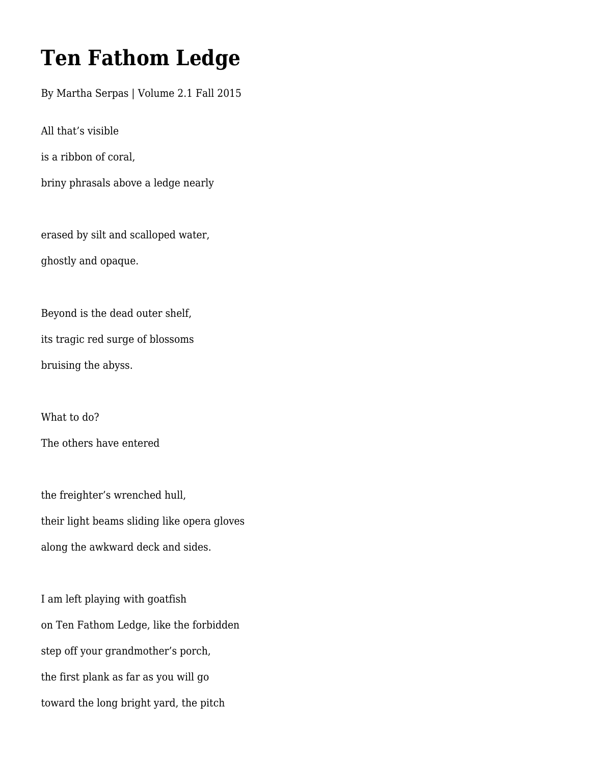## **Ten Fathom Ledge**

By Martha Serpas | Volume 2.1 Fall 2015

All that's visible

is a ribbon of coral,

briny phrasals above a ledge nearly

erased by silt and scalloped water, ghostly and opaque.

Beyond is the dead outer shelf, its tragic red surge of blossoms bruising the abyss.

What to do?

The others have entered

the freighter's wrenched hull, their light beams sliding like opera gloves along the awkward deck and sides.

I am left playing with goatfish on Ten Fathom Ledge, like the forbidden step off your grandmother's porch, the first plank as far as you will go toward the long bright yard, the pitch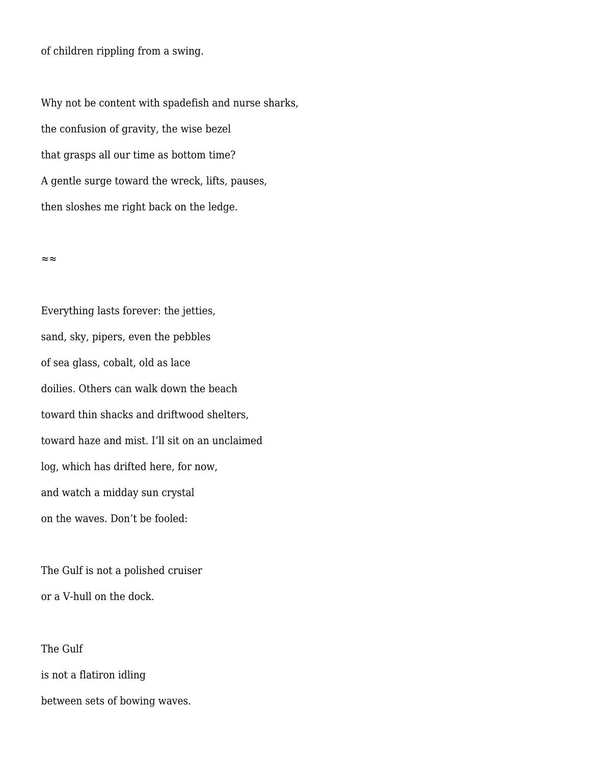of children rippling from a swing.

Why not be content with spadefish and nurse sharks, the confusion of gravity, the wise bezel that grasps all our time as bottom time? A gentle surge toward the wreck, lifts, pauses, then sloshes me right back on the ledge.

≈≈

Everything lasts forever: the jetties, sand, sky, pipers, even the pebbles of sea glass, cobalt, old as lace doilies. Others can walk down the beach toward thin shacks and driftwood shelters, toward haze and mist. I'll sit on an unclaimed log, which has drifted here, for now, and watch a midday sun crystal on the waves. Don't be fooled:

The Gulf is not a polished cruiser or a V-hull on the dock.

The Gulf is not a flatiron idling between sets of bowing waves.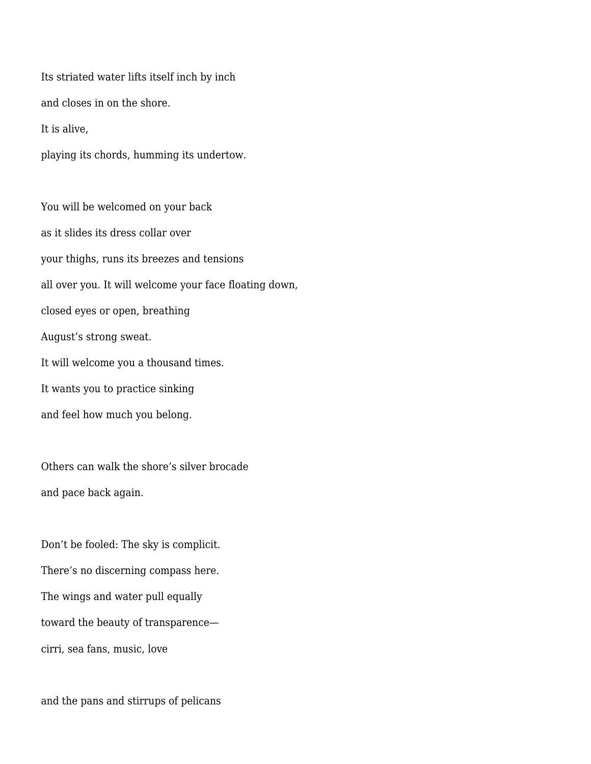Its striated water lifts itself inch by inch and closes in on the shore. It is alive,

playing its chords, humming its undertow.

You will be welcomed on your back as it slides its dress collar over your thighs, runs its breezes and tensions all over you. It will welcome your face floating down, closed eyes or open, breathing August's strong sweat. It will welcome you a thousand times. It wants you to practice sinking and feel how much you belong.

Others can walk the shore's silver brocade and pace back again.

Don't be fooled: The sky is complicit. There's no discerning compass here. The wings and water pull equally toward the beauty of transparence cirri, sea fans, music, love

and the pans and stirrups of pelicans